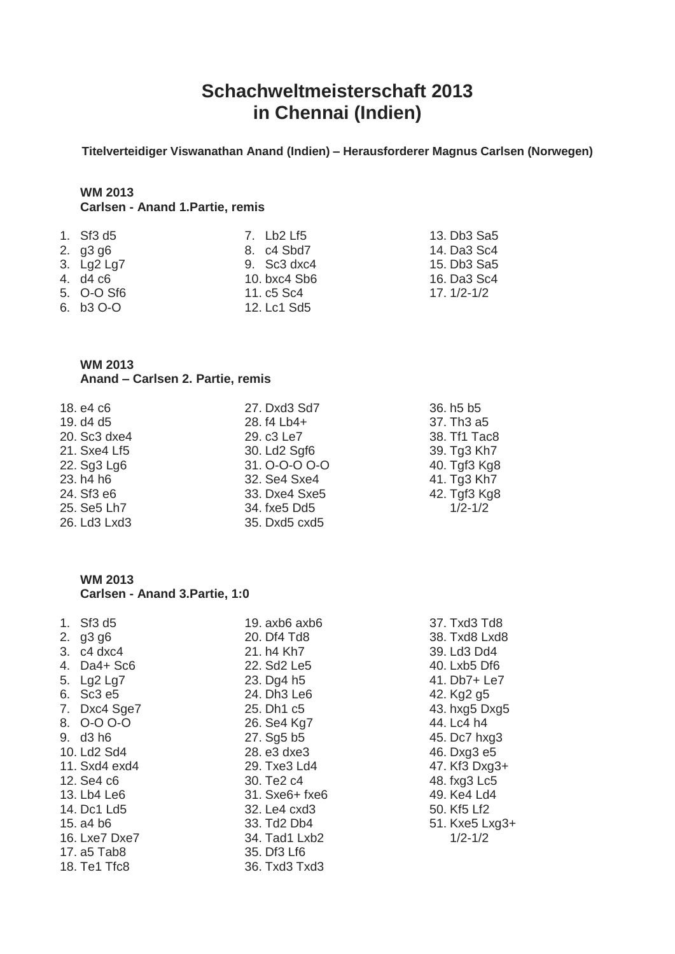## **Schachweltmeisterschaft 2013 in Chennai (Indien)**

**Titelverteidiger Viswanathan Anand (Indien) – Herausforderer Magnus Carlsen (Norwegen)**

# **WM 2013**

## **Carlsen - Anand 1.Partie, remis**

| 1. $Sf3 d5$ | 7. Lb2 Lf5    | 13. Db3 Sa5    |
|-------------|---------------|----------------|
| 2. $q3 q6$  | 8. c4 Sbd7    | 14. Da3 Sc4    |
| 3. Lg2 Lg7  | 9. $Sc3 dxc4$ | 15. Db3 Sa5    |
| 4. d4 c6    | 10. bxc4 Sb6  | 16. Da3 Sc4    |
| 5. O-O Sf6  | 11. c5 Sc4    | $17.1/2 - 1/2$ |
| 6. b3 O-O   | 12. Lc1 Sd5   |                |

#### **WM 2013 Anand – Carlsen 2. Partie, remis**

| 18. e4 c6    | 27. Dxd3 Sd7  | 36. h <sub>5</sub> b <sub>5</sub>  |
|--------------|---------------|------------------------------------|
| 19. d4 d5    | 28. f4 Lb4+   | 37. Th <sub>3</sub> a <sub>5</sub> |
| 20. Sc3 dxe4 | 29. c3 Le7    | 38. Tf1 Tac8                       |
| 21. Sxe4 Lf5 | 30. Ld2 Sgf6  | 39. Tg3 Kh7                        |
| 22. Sg3 Lg6  | 31. O-O-O O-O | 40. Tgf3 Kg8                       |
| 23. h4 h6    | 32. Se4 Sxe4  | 41. Tg3 Kh7                        |
| 24. Sf3 e6   | 33. Dxe4 Sxe5 | 42. Tgf3 Kg8                       |
| 25. Se5 Lh7  | 34. fxe5 Dd5  | $1/2 - 1/2$                        |
| 26. Ld3 Lxd3 | 35. Dxd5 cxd5 |                                    |

#### **WM 2013 Carlsen - Anand 3.Partie, 1:0**

| 1. $Sf3 d5$   | 19. $axb6$ $axb6$ | 37. Txd3 Td8   |
|---------------|-------------------|----------------|
| 2. $g3 g6$    | 20. Df4 Td8       | 38. Txd8 Lxd8  |
| 3. c4 dxc4    | 21. h4 Kh7        | 39. Ld3 Dd4    |
| 4. Da4+ Sc6   | 22. Sd2 Le5       | 40. Lxb5 Df6   |
| 5. Lg2 Lg7    | 23. Dg4 h5        | 41. Db7+ Le7   |
| 6. Sc3 e5     | 24. Dh3 Le6       | 42. Kg2 g5     |
| 7. Dxc4 Sge7  | 25. Dh1 c5        | 43. hxg5 Dxg5  |
| 8. O-O O-O    | 26. Se4 Kg7       | 44. Lc4 h4     |
| 9. d3 h6      | 27. Sg5 b5        | 45. Dc7 hxg3   |
| 10. Ld2 Sd4   | 28. e3 dxe3       | 46. Dxg3 e5    |
| 11. Sxd4 exd4 | 29. Txe3 Ld4      | 47. Kf3 Dxg3+  |
| 12. Se4 c6    | 30. Te2 c4        | 48. fxg3 Lc5   |
| 13. Lb4 Le6   | 31. Sxe6+ fxe6    | 49. Ke4 Ld4    |
| 14. Dc1 Ld5   | 32. Le4 cxd3      | 50. Kf5 Lf2    |
| 15. a4 b6     | 33. Td2 Db4       | 51. Kxe5 Lxg3+ |
| 16. Lxe7 Dxe7 | 34. Tad1 Lxb2     | $1/2 - 1/2$    |
| 17. a5 Tab8   | 35. Df3 Lf6       |                |
| 18. Te1 Tfc8  | 36. Txd3 Txd3     |                |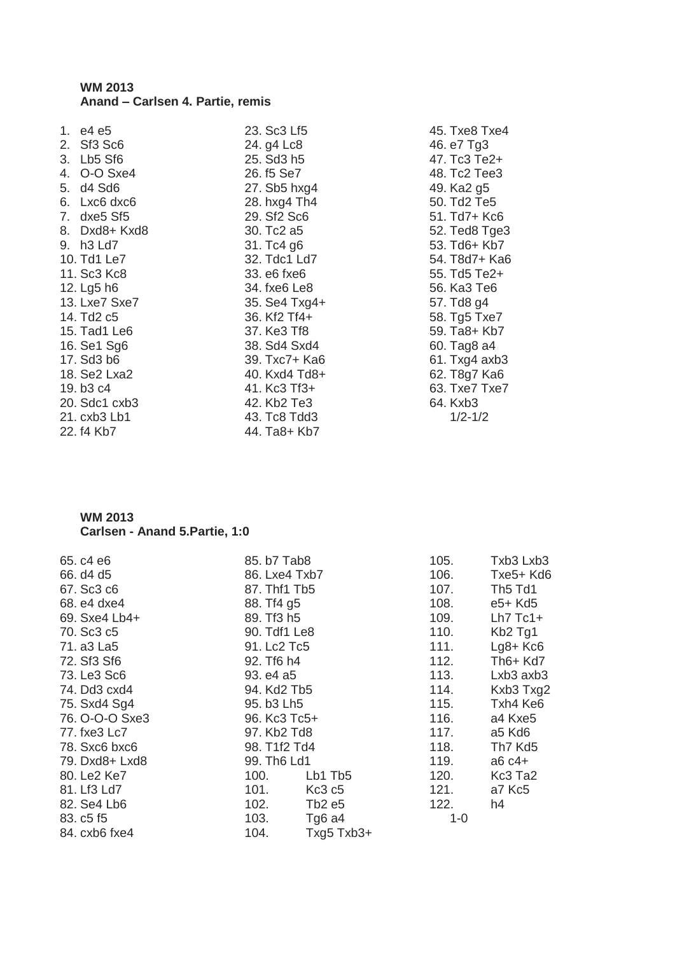#### **WM 2013 Anand – Carlsen 4. Partie, remis**

| 1. e4 e5      |
|---------------|
| 2. Sf3 Sc6    |
| 3. Lb5 Sf6    |
| 4. O-O Sxe4   |
| 5. d4 Sd6     |
| 6. Lxc6 dxc6  |
| 7. dxe5 Sf5   |
| 8. Dxd8+ Kxd8 |
| 9. h3 Ld7     |
| 10. Td1 Le7   |
| 11. Sc3 Kc8   |
| 12. Lg5 h6    |
| 13. Lxe7 Sxe7 |
| 14. Td2 c5    |
| 15. Tad1 Le6  |
| 16. Se1 Sg6   |
| 17. Sd3 b6    |
| 18. Se2 Lxa2  |
| 19. b3 c4     |
| 20. Sdc1 cxb3 |
| 21. cxb3 Lb1  |
| 22. f4 Kb7    |

23. Sc3 Lf5 24. g4 Lc8 25. Sd3 h5 26. f5 Se7 27. Sb5 hxg4 28. hxg4 Th4 29. Sf2 Sc6 30. Tc2 a5 31. Tc4 g6 32. Tdc1 Ld7 33. e6 fxe6 34. fxe6 Le8 35. Se4 Txg4+ 36. Kf2 Tf4+ 37. Ke3 Tf8 38. Sd4 Sxd4 39. Txc7+ Ka6 40. Kxd4 Td8+ 41. Kc3 Tf3+ 42. Kb2 Te3 43. Tc8 Tdd3 44. Ta8+ Kb7

45. Txe8 Txe4 46. e7 Tg3 47. Tc3 Te2+ 48. Tc2 Tee3 49. Ka2 g5 50. Td2 Te5 51. Td7+ Kc6 52. Ted8 Tge3 53. Td6+ Kb7 54. T8d7+ Ka6 55. Td5 Te2+ 56. Ka3 Te6 57. Td8 g4 58. Tg5 Txe7 59. Ta8+ Kb7 60. Tag8 a4 61. Txg4 axb3 62. T8g7 Ka6 63. Txe7 Txe7 64. Kxb3 1/2-1/2

## **WM 2013**

#### **Carlsen - Anand 5.Partie, 1:0**

| 65. c4 e6      | 85. b7 Tab8   |                                | 105.    | Txb3 Lxb3                       |
|----------------|---------------|--------------------------------|---------|---------------------------------|
| 66. d4 d5      | 86. Lxe4 Txb7 |                                | 106.    | Txe5+ Kd6                       |
|                |               |                                |         |                                 |
| 67. Sc3 c6     | 87. Thf1 Tb5  |                                | 107.    | Th <sub>5</sub> Td <sub>1</sub> |
| 68. e4 dxe4    | 88. Tf4 g5    |                                | 108.    | e5+ Kd5                         |
| 69. Sxe4 Lb4+  | 89. Tf3 h5    |                                | 109.    | $Lh7$ Tc1+                      |
| 70. Sc3 c5     | 90. Tdf1 Le8  |                                | 110.    | Kb <sub>2</sub> Tg <sub>1</sub> |
| 71. a3 La5     | 91. Lc2 Tc5   |                                | 111.    | $Lg8+Kc6$                       |
| 72. Sf3 Sf6    | 92. Tf6 h4    |                                | 112.    | $Th6+Kd7$                       |
| 73. Le3 Sc6    | 93. e4 a5     |                                | 113.    | Lxb3 axb3                       |
| 74. Dd3 cxd4   | 94. Kd2 Tb5   |                                | 114.    | Kxb3 Txg2                       |
| 75. Sxd4 Sg4   | 95. b3 Lh5    |                                | 115.    | Txh4 Ke6                        |
| 76. O-O-O Sxe3 | 96. Kc3 Tc5+  |                                | 116.    | a4 Kxe5                         |
| 77. fxe3 Lc7   | 97. Kb2 Td8   |                                | 117.    | a5 Kd6                          |
| 78. Sxc6 bxc6  | 98. T1f2 Td4  |                                | 118.    | Th7 Kd5                         |
| 79. Dxd8+ Lxd8 | 99. Th6 Ld1   |                                | 119.    | $a6 c4+$                        |
| 80. Le2 Ke7    | 100.          | Lb1 Tb5                        | 120.    | Kc3 Ta2                         |
| 81. Lf3 Ld7    | 101.          | Kc <sub>3</sub> c <sub>5</sub> | 121.    | a7 Kc5                          |
| 82. Se4 Lb6    | 102.          | Tb2 e5                         | 122.    | h4                              |
| 83. c5 f5      | 103.          | Tg <sub>6</sub> a4             | $1 - 0$ |                                 |
| 84. cxb6 fxe4  | 104.          | $Txq5$ $Txb3+$                 |         |                                 |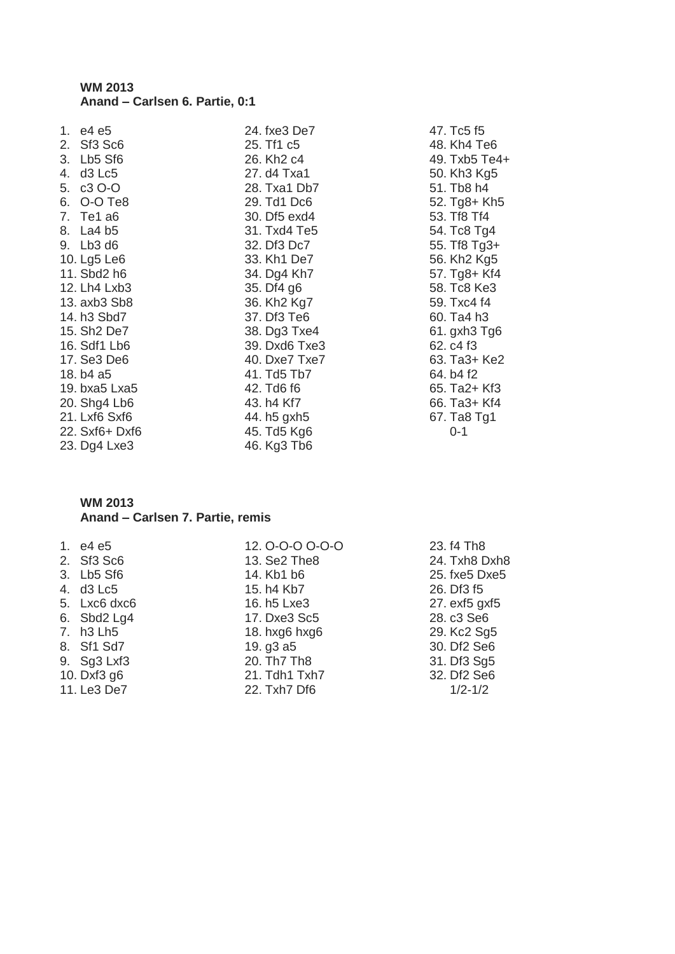#### **WM 2013 Anand – Carlsen 6. Partie, 0:1**

|    | 1. e4 e5                |
|----|-------------------------|
|    | 2. Sf3 Sc6              |
|    | 3. Lb5 Sf6              |
|    | 4. d3 Lc5               |
|    | 5. c3 O-O               |
|    | 6. O-O Te8              |
| 7. | Te1 a6                  |
|    | 8. La4 b5               |
|    | 9. Lb3 d6               |
|    | 10. Lg5 Le6             |
|    | 11. Sbd2 h6             |
|    | 12. Lh4 Lxb3            |
|    | 13. axb3 Sb8            |
|    | 14. h3 Sbd7             |
|    | 15. Sh <sub>2</sub> De7 |
|    | 16. Sdf1 Lb6            |
|    | 17. Se3 De6             |
|    | 18. b4 a5               |
|    | 19. bxa5 Lxa5           |
|    | 20. Shg4 Lb6            |
|    | 21. Lxf6 Sxf6           |
|    | 22. Sxf6+ Dxf6          |
|    | 23. Dg4 Lxe3            |

24. fxe3 De7 25. Tf1 c5 26. Kh2 c4 27. d4 Txa1 28. Txa1 Db7 29. Td1 Dc6 30. Df5 exd4 31. Txd4 Te5 32. Df3 Dc7 33. Kh1 De7 34. Dg4 Kh7 35. Df4 g6 36. Kh2 Kg7 37. Df3 Te6 38. Dg3 Txe4 39. Dxd6 Txe3 40. Dxe7 Txe7 41. Td5 Tb7 42. Td6 f6 43. h4 Kf7 44. h5 gxh5 45. Td5 Kg6 46. Kg3 Tb6

47. Tc5 f5 48. Kh4 Te6 49. Txb5 Te4+ 50. Kh3 Kg5 51. Tb8 h4 52. Tg8+ Kh5 53. Tf8 Tf4 54. Tc8 Tg4 55. Tf8 Tg3+ 56. Kh2 Kg5 57. Tg8+ Kf4 58. Tc8 Ke3 59. Txc4 f4 60. Ta4 h3 61. gxh3 Tg6 62. c4 f3 63. Ta3+ Ke2 64. b4 f2 65. Ta2+ Kf3 66. Ta3+ Kf4 67. Ta8 Tg1 0-1

#### **WM 2013 Anand – Carlsen 7. Partie, remis**

1. e4 e5 2. Sf3 Sc6 3. Lb5 Sf6 4. d3 Lc5 5. Lxc6 dxc6 6. Sbd2 Lg4 7. h3 Lh5 8. Sf1 Sd7 9. Sg3 Lxf3 10. Dxf3 g6 11. Le3 De7

12. O-O-O O-O-O 13. Se2 The8 14. Kb1 b6 15. h4 Kb7 16. h5 Lxe3 17. Dxe3 Sc5 18. hxg6 hxg6 19. g3 a5 20. Th7 Th8 21. Tdh1 Txh7 22. Txh7 Df6

23. f4 Th8 24. Txh8 Dxh8 25. fxe5 Dxe5 26. Df3 f5 27. exf5 gxf5 28. c3 Se6 29. Kc2 Sq5 30. Df2 Se6 31. Df3 Sg5 32. Df2 Se6 1/2-1/2